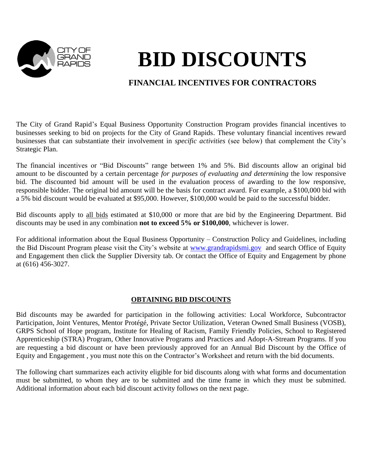

# **BID DISCOUNTS**

# **FINANCIAL INCENTIVES FOR CONTRACTORS**

The City of Grand Rapid's Equal Business Opportunity Construction Program provides financial incentives to businesses seeking to bid on projects for the City of Grand Rapids. These voluntary financial incentives reward businesses that can substantiate their involvement in *specific activities* (see below) that complement the City's Strategic Plan.

The financial incentives or "Bid Discounts" range between 1% and 5%. Bid discounts allow an original bid amount to be discounted by a certain percentage *for purposes of evaluating and determining* the low responsive bid. The discounted bid amount will be used in the evaluation process of awarding to the low responsive, responsible bidder. The original bid amount will be the basis for contract award. For example, a \$100,000 bid with a 5% bid discount would be evaluated at \$95,000. However, \$100,000 would be paid to the successful bidder.

Bid discounts apply to all bids estimated at \$10,000 or more that are bid by the Engineering Department. Bid discounts may be used in any combination **not to exceed 5% or \$100,000**, whichever is lower.

For additional information about the Equal Business Opportunity – Construction Policy and Guidelines, including the Bid Discount Program please visit the City's website at [www.grandrapidsmi.gov](http://www.grandrapidsmi.gov/) and search Office of Equity and Engagement then click the Supplier Diversity tab. Or contact the Office of Equity and Engagement by phone at (616) 456-3027.

## **OBTAINING BID DISCOUNTS**

Bid discounts may be awarded for participation in the following activities: Local Workforce, Subcontractor Participation, Joint Ventures, Mentor Protégé, Private Sector Utilization, Veteran Owned Small Business (VOSB), GRPS School of Hope program, Institute for Healing of Racism, Family Friendly Policies, School to Registered Apprenticeship (STRA) Program, Other Innovative Programs and Practices and Adopt-A-Stream Programs. If you are requesting a bid discount or have been previously approved for an Annual Bid Discount by the Office of Equity and Engagement , you must note this on the Contractor's Worksheet and return with the bid documents.

The following chart summarizes each activity eligible for bid discounts along with what forms and documentation must be submitted, to whom they are to be submitted and the time frame in which they must be submitted. Additional information about each bid discount activity follows on the next page.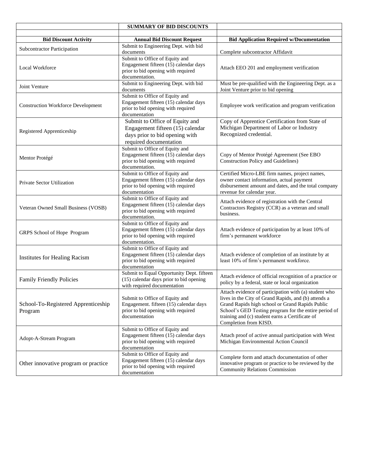|                                           | <b>SUMMARY OF BID DISCOUNTS</b>                                          |                                                                                                              |  |  |  |  |
|-------------------------------------------|--------------------------------------------------------------------------|--------------------------------------------------------------------------------------------------------------|--|--|--|--|
|                                           |                                                                          |                                                                                                              |  |  |  |  |
| <b>Bid Discount Activity</b>              | <b>Annual Bid Discount Request</b>                                       | <b>Bid Application Required w/Documentation</b>                                                              |  |  |  |  |
| <b>Subcontractor Participation</b>        | Submit to Engineering Dept. with bid                                     |                                                                                                              |  |  |  |  |
|                                           | documents<br>Submit to Office of Equity and                              | Complete subcontractor Affidavit                                                                             |  |  |  |  |
|                                           | Engagement fifteen (15) calendar days                                    |                                                                                                              |  |  |  |  |
| <b>Local Workforce</b>                    | prior to bid opening with required                                       | Attach EEO 201 and employment verification                                                                   |  |  |  |  |
|                                           | documentation.                                                           |                                                                                                              |  |  |  |  |
| Joint Venture                             | Submit to Engineering Dept. with bid                                     | Must be pre-qualified with the Engineering Dept. as a                                                        |  |  |  |  |
|                                           | documents                                                                | Joint Venture prior to bid opening                                                                           |  |  |  |  |
|                                           | Submit to Office of Equity and                                           |                                                                                                              |  |  |  |  |
| <b>Construction Workforce Development</b> | Engagement fifteen (15) calendar days                                    | Employee work verification and program verification                                                          |  |  |  |  |
|                                           | prior to bid opening with required<br>documentation                      |                                                                                                              |  |  |  |  |
|                                           | Submit to Office of Equity and                                           | Copy of Apprentice Certification from State of                                                               |  |  |  |  |
|                                           | Engagement fifteen (15) calendar                                         | Michigan Department of Labor or Industry                                                                     |  |  |  |  |
| Registered Apprenticeship                 | days prior to bid opening with                                           | Recognized credential.                                                                                       |  |  |  |  |
|                                           | required documentation                                                   |                                                                                                              |  |  |  |  |
|                                           | Submit to Office of Equity and                                           |                                                                                                              |  |  |  |  |
|                                           | Engagement fifteen $(15)$ calendar days                                  | Copy of Mentor Protégé Agreement (See EBO                                                                    |  |  |  |  |
| Mentor Protégé                            | prior to bid opening with required                                       | Construction Policy and Guidelines)                                                                          |  |  |  |  |
|                                           | documentation.                                                           |                                                                                                              |  |  |  |  |
|                                           | Submit to Office of Equity and                                           | Certified Micro-LBE firm names, project names,                                                               |  |  |  |  |
| Private Sector Utilization                | Engagement fifteen (15) calendar days                                    | owner contact information, actual payment                                                                    |  |  |  |  |
|                                           | prior to bid opening with required                                       | disbursement amount and dates, and the total company                                                         |  |  |  |  |
|                                           | documentation<br>Submit to Office of Equity and                          | revenue for calendar year.                                                                                   |  |  |  |  |
|                                           | Engagement fifteen (15) calendar days                                    | Attach evidence of registration with the Central                                                             |  |  |  |  |
| Veteran Owned Small Business (VOSB)       | prior to bid opening with required                                       | Contractors Registry (CCR) as a veteran and small                                                            |  |  |  |  |
|                                           | documentation.                                                           | business.                                                                                                    |  |  |  |  |
|                                           | Submit to Office of Equity and                                           |                                                                                                              |  |  |  |  |
| GRPS School of Hope Program               | Engagement fifteen (15) calendar days                                    | Attach evidence of participation by at least 10% of                                                          |  |  |  |  |
|                                           | prior to bid opening with required                                       | firm's permanent workforce                                                                                   |  |  |  |  |
|                                           | documentation.<br>Submit to Office of Equity and                         |                                                                                                              |  |  |  |  |
|                                           | Engagement fifteen (15) calendar days                                    | Attach evidence of completion of an institute by at                                                          |  |  |  |  |
| <b>Institutes for Healing Racism</b>      | prior to bid opening with required                                       | least 10% of firm's permanent workforce.                                                                     |  |  |  |  |
|                                           | documentation                                                            |                                                                                                              |  |  |  |  |
|                                           | Submit to Equal Opportunity Dept. fifteen                                |                                                                                                              |  |  |  |  |
| <b>Family Friendly Policies</b>           | (15) calendar days prior to bid opening                                  | Attach evidence of official recognition of a practice or<br>policy by a federal, state or local organization |  |  |  |  |
|                                           | with required documentation                                              |                                                                                                              |  |  |  |  |
|                                           |                                                                          | Attach evidence of participation with (a) student who                                                        |  |  |  |  |
| School-To-Registered Apprenticeship       | Submit to Office of Equity and<br>Engagement. fifteen (15) calendar days | lives in the City of Grand Rapids, and (b) attends a<br>Grand Rapids high school or Grand Rapids Public      |  |  |  |  |
| Program                                   | prior to bid opening with required                                       | School's GED Testing program for the entire period of                                                        |  |  |  |  |
|                                           | documentation                                                            | training and (c) student earns a Certificate of                                                              |  |  |  |  |
|                                           |                                                                          | Completion from KISD.                                                                                        |  |  |  |  |
|                                           | Submit to Office of Equity and                                           |                                                                                                              |  |  |  |  |
| Adopt-A-Stream Program                    | Engagement fifteen (15) calendar days                                    | Attach proof of active annual participation with West                                                        |  |  |  |  |
|                                           | prior to bid opening with required                                       | Michigan Environmental Action Council                                                                        |  |  |  |  |
|                                           | documentation                                                            |                                                                                                              |  |  |  |  |
|                                           | Submit to Office of Equity and<br>Engagement fifteen (15) calendar days  | Complete form and attach documentation of other                                                              |  |  |  |  |
| Other innovative program or practice      | prior to bid opening with required                                       | innovative program or practice to be reviewed by the                                                         |  |  |  |  |
|                                           | documentation                                                            | <b>Community Relations Commission</b>                                                                        |  |  |  |  |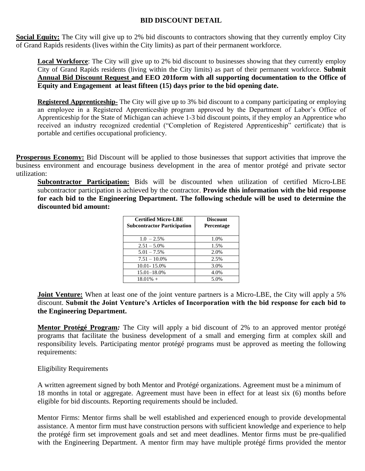## **BID DISCOUNT DETAIL**

**Social Equity:** The City will give up to 2% bid discounts to contractors showing that they currently employ City of Grand Rapids residents (lives within the City limits) as part of their permanent workforce.

**Local Workforce**: The City will give up to 2% bid discount to businesses showing that they currently employ City of Grand Rapids residents (living within the City limits) as part of their permanent workforce. **Submit Annual Bid Discount Request and EEO 201form with all supporting documentation to the Office of Equity and Engagement at least fifteen (15) days prior to the bid opening date.**

**Registered Apprenticeship-** The City will give up to 3% bid discount to a company participating or employing an employee in a Registered Apprenticeship program approved by the Department of Labor's Office of Apprenticeship for the State of Michigan can achieve 1-3 bid discount points, if they employ an Apprentice who received an industry recognized credential ("Completion of Registered Apprenticeship" certificate) that is portable and certifies occupational proficiency.

**Prosperous Economy:** Bid Discount will be applied to those businesses that support activities that improve the business environment and encourage business development in the area of mentor protégé and private sector utilization:

**Subcontractor Participation:** Bids will be discounted when utilization of certified Micro-LBE subcontractor participation is achieved by the contractor. **Provide this information with the bid response for each bid to the Engineering Department. The following schedule will be used to determine the discounted bid amount:**

| <b>Certified Micro-LBE</b><br><b>Subcontractor Participation</b> | <b>Discount</b><br><b>Percentage</b> |
|------------------------------------------------------------------|--------------------------------------|
| $1.0 - 2.5\%$                                                    | 1.0%                                 |
| $2.51 - 5.0\%$                                                   | 1.5%                                 |
| $5.01 - 7.5\%$                                                   | 2.0%                                 |
| $7.51 - 10.0\%$                                                  | 2.5%                                 |
| 10.01-15.0%                                                      | 3.0%                                 |
| 15.01–18.0%                                                      | 4.0%                                 |
| $18.01\% +$                                                      | 5.0%                                 |

**Joint Venture:** When at least one of the joint venture partners is a Micro-LBE, the City will apply a 5% discount. **Submit the Joint Venture's Articles of Incorporation with the bid response for each bid to the Engineering Department.**

**Mentor Protégé Program***:* The City will apply a bid discount of 2% to an approved mentor protégé programs that facilitate the business development of a small and emerging firm at complex skill and responsibility levels. Participating mentor protégé programs must be approved as meeting the following requirements:

### Eligibility Requirements

A written agreement signed by both Mentor and Protégé organizations. Agreement must be a minimum of 18 months in total or aggregate. Agreement must have been in effect for at least six (6) months before eligible for bid discounts. Reporting requirements should be included.

Mentor Firms: Mentor firms shall be well established and experienced enough to provide developmental assistance. A mentor firm must have construction persons with sufficient knowledge and experience to help the protégé firm set improvement goals and set and meet deadlines. Mentor firms must be pre-qualified with the Engineering Department. A mentor firm may have multiple protégé firms provided the mentor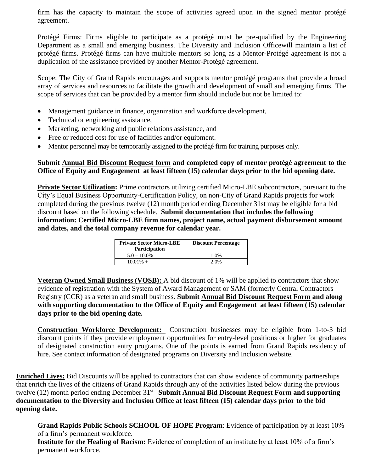firm has the capacity to maintain the scope of activities agreed upon in the signed mentor protégé agreement.

Protégé Firms: Firms eligible to participate as a protégé must be pre-qualified by the Engineering Department as a small and emerging business. The Diversity and Inclusion Officewill maintain a list of protégé firms. Protégé firms can have multiple mentors so long as a Mentor-Protégé agreement is not a duplication of the assistance provided by another Mentor-Protégé agreement.

Scope: The City of Grand Rapids encourages and supports mentor protégé programs that provide a broad array of services and resources to facilitate the growth and development of small and emerging firms. The scope of services that can be provided by a mentor firm should include but not be limited to:

- Management guidance in finance, organization and workforce development,
- Technical or engineering assistance,
- Marketing, networking and public relations assistance, and
- Free or reduced cost for use of facilities and/or equipment.
- Mentor personnel may be temporarily assigned to the protégé firm for training purposes only.

**Submit Annual Bid Discount Request form and completed copy of mentor protégé agreement to the Office of Equity and Engagement at least fifteen (15) calendar days prior to the bid opening date.**

**Private Sector Utilization:** Prime contractors utilizing certified Micro-LBE subcontractors, pursuant to the City's Equal Business Opportunity-Certification Policy, on non-City of Grand Rapids projects for work completed during the previous twelve (12) month period ending December 31st may be eligible for a bid discount based on the following schedule. **Submit documentation that includes the following information: Certified Micro-LBE firm names, project name, actual payment disbursement amount and dates, and the total company revenue for calendar year.** 

| <b>Private Sector Micro-LBE</b><br><b>Participation</b> | <b>Discount Percentage</b> |  |  |  |  |  |
|---------------------------------------------------------|----------------------------|--|--|--|--|--|
| $5.0 - 10.0\%$                                          | 1.0%                       |  |  |  |  |  |
| $10.01\% +$                                             | $2.0\%$                    |  |  |  |  |  |

**Veteran Owned Small Business (VOSB):** A bid discount of 1% will be applied to contractors that show evidence of registration with the System of Award Management or SAM (formerly Central Contractors Registry (CCR) as a veteran and small business. **Submit Annual Bid Discount Request Form and along with supporting documentation to the Office of Equity and Engagement at least fifteen (15) calendar days prior to the bid opening date.**

**Construction Workforce Development:** Construction businesses may be eligible from 1-to-3 bid discount points if they provide employment opportunities for entry-level positions or higher for graduates of designated construction entry programs. One of the points is earned from Grand Rapids residency of hire. See contact information of designated programs on Diversity and Inclusion website.

**Enriched Lives:** Bid Discounts will be applied to contractors that can show evidence of community partnerships that enrich the lives of the citizens of Grand Rapids through any of the activities listed below during the previous twelve (12) month period ending December 31<sup>st.</sup> Submit **Annual Bid Discount Request Form and supporting documentation to the Diversity and Inclusion Office at least fifteen (15) calendar days prior to the bid opening date.**

**Grand Rapids Public Schools SCHOOL OF HOPE Program**: Evidence of participation by at least 10% of a firm's permanent workforce.

**Institute for the Healing of Racism:** Evidence of completion of an institute by at least 10% of a firm's permanent workforce.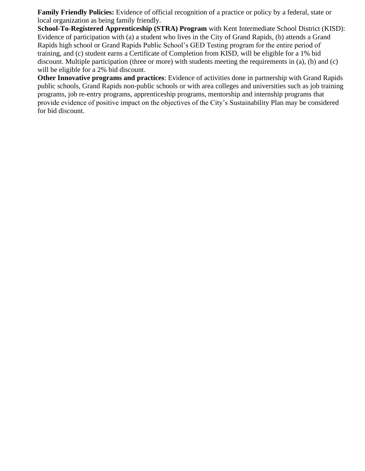**Family Friendly Policies:** Evidence of official recognition of a practice or policy by a federal, state or local organization as being family friendly.

**School-To-Registered Apprenticeship (STRA) Program** with Kent Intermediate School District (KISD): Evidence of participation with (a) a student who lives in the City of Grand Rapids, (b) attends a Grand Rapids high school or Grand Rapids Public School's GED Testing program for the entire period of training, and (c) student earns a Certificate of Completion from KISD, will be eligible for a 1% bid discount. Multiple participation (three or more) with students meeting the requirements in (a), (b) and (c) will be eligible for a 2% bid discount.

**Other Innovative programs and practices**: Evidence of activities done in partnership with Grand Rapids public schools, Grand Rapids non-public schools or with area colleges and universities such as job training programs, job re-entry programs, apprenticeship programs, mentorship and internship programs that provide evidence of positive impact on the objectives of the City's Sustainability Plan may be considered for bid discount.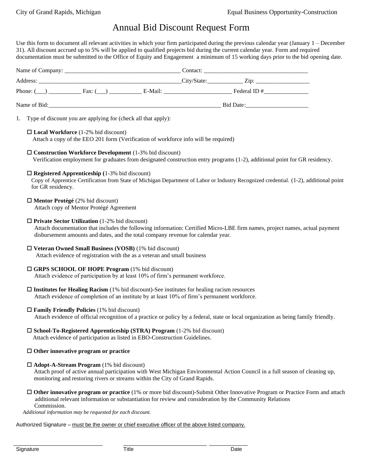# Annual Bid Discount Request Form

Use this form to document all relevant activities in which your firm participated during the previous calendar year (January 1 – December 31). All discount accrued up to 5% will be applied to qualified projects bid during the current calendar year. Form and required documentation must be submitted to the Office of Equity and Engagement a minimum of 15 working days prior to the bid opening date.

|                   |                                                                                    | Phone: $(\_\_\)$ Fax: $(\_\_\)$ Fax: $(\_\_)$ E-Mail: $\_\_\_\_\_$ E-Mail: $\_\_\_\_\_$ Federal ID #                                                                                                                                           |  |  |
|-------------------|------------------------------------------------------------------------------------|------------------------------------------------------------------------------------------------------------------------------------------------------------------------------------------------------------------------------------------------|--|--|
|                   |                                                                                    |                                                                                                                                                                                                                                                |  |  |
|                   | 1. Type of discount you are applying for (check all that apply):                   |                                                                                                                                                                                                                                                |  |  |
|                   | $\Box$ Local Workforce (1-2% bid discount)                                         | Attach a copy of the EEO 201 form (Verification of workforce info will be required)                                                                                                                                                            |  |  |
|                   |                                                                                    | $\Box$ Construction Workforce Development (1-3% bid discount)<br>Verification employment for graduates from designated construction entry programs (1-2), additional point for GR residency.                                                   |  |  |
| for GR residency. | $\Box$ Registered Apprenticeship (1-3% bid discount)                               | Copy of Apprentice Certification from State of Michigan Department of Labor or Industry Recognized credential. (1-2), additional point                                                                                                         |  |  |
|                   | $\Box$ Mentor Protégé (2% bid discount)<br>Attach copy of Mentor Protégé Agreement |                                                                                                                                                                                                                                                |  |  |
|                   | $\Box$ Private Sector Utilization (1-2% bid discount)                              | Attach documentation that includes the following information: Certified Micro-LBE firm names, project names, actual payment<br>disbursement amounts and dates, and the total company revenue for calendar year.                                |  |  |
|                   |                                                                                    | $\Box$ Veteran Owned Small Business (VOSB) (1% bid discount)<br>Attach evidence of registration with the as a veteran and small business                                                                                                       |  |  |
|                   | $\Box$ GRPS SCHOOL OF HOPE Program (1% bid discount)                               | Attach evidence of participation by at least 10% of firm's permanent workforce.                                                                                                                                                                |  |  |
|                   |                                                                                    | $\Box$ Institutes for Healing Racism (1% bid discount)-See institutes for healing racism resources<br>Attach evidence of completion of an institute by at least 10% of firm's permanent workforce.                                             |  |  |
|                   | $\Box$ Family Friendly Policies (1% bid discount)                                  | Attach evidence of official recognition of a practice or policy by a federal, state or local organization as being family friendly.                                                                                                            |  |  |
|                   |                                                                                    | $\square$ School-To-Registered Apprenticeship (STRA) Program (1-2% bid discount)<br>Attach evidence of participation as listed in EBO-Construction Guidelines.                                                                                 |  |  |
|                   | $\Box$ Other innovative program or practice                                        |                                                                                                                                                                                                                                                |  |  |
|                   | $\Box$ Adopt-A-Stream Program (1% bid discount)                                    | Attach proof of active annual participation with West Michigan Environmental Action Council in a full season of cleaning up,<br>monitoring and restoring rivers or streams within the City of Grand Rapids.                                    |  |  |
| Commission.       |                                                                                    | $\Box$ Other innovative program or practice (1% or more bid discount)-Submit Other Innovative Program or Practice Form and attach<br>additional relevant information or substantiation for review and consideration by the Community Relations |  |  |

 *Additional information may be requested for each discount.*

Authorized Signature – must be the owner or chief executive officer of the above listed company.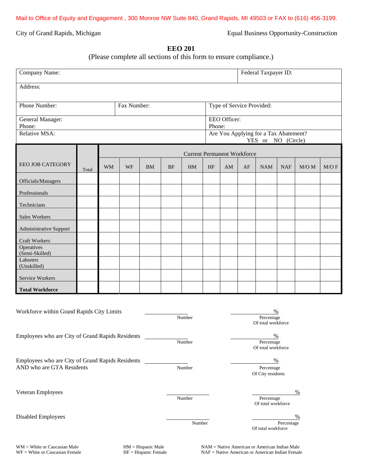City of Grand Rapids, Michigan Equal Business Opportunity-Construction

## **EEO 201**

(Please complete all sections of this form to ensure compliance.)

| Company Name:                                                                                       |       |           |    |           |                           | Federal Taxpayer ID:               |                                                             |    |                                          |            |            |           |      |
|-----------------------------------------------------------------------------------------------------|-------|-----------|----|-----------|---------------------------|------------------------------------|-------------------------------------------------------------|----|------------------------------------------|------------|------------|-----------|------|
| Address:                                                                                            |       |           |    |           |                           |                                    |                                                             |    |                                          |            |            |           |      |
| Phone Number:<br>Fax Number:                                                                        |       |           |    |           | Type of Service Provided: |                                    |                                                             |    |                                          |            |            |           |      |
| EEO Officer:<br>General Manager:<br>Phone:<br>Phone:                                                |       |           |    |           |                           |                                    |                                                             |    |                                          |            |            |           |      |
| Relative MSA:                                                                                       |       |           |    |           |                           |                                    | Are You Applying for a Tax Abatement?<br>YES or NO (Circle) |    |                                          |            |            |           |      |
|                                                                                                     |       |           |    |           |                           | <b>Current Permanent Workforce</b> |                                                             |    |                                          |            |            |           |      |
| <b>EEO JOB CATEGORY</b>                                                                             | Total | <b>WM</b> | WF | <b>BM</b> | <b>BF</b>                 | HM                                 | HF                                                          | AM | AF                                       | <b>NAM</b> | <b>NAF</b> | $M/O$ $M$ | M/OF |
| Officials/Managers                                                                                  |       |           |    |           |                           |                                    |                                                             |    |                                          |            |            |           |      |
| Professionals                                                                                       |       |           |    |           |                           |                                    |                                                             |    |                                          |            |            |           |      |
| Technicians                                                                                         |       |           |    |           |                           |                                    |                                                             |    |                                          |            |            |           |      |
| <b>Sales Workers</b>                                                                                |       |           |    |           |                           |                                    |                                                             |    |                                          |            |            |           |      |
| <b>Administrative Support</b>                                                                       |       |           |    |           |                           |                                    |                                                             |    |                                          |            |            |           |      |
| Craft Workers                                                                                       |       |           |    |           |                           |                                    |                                                             |    |                                          |            |            |           |      |
| Operatives<br>(Semi-Skilled)                                                                        |       |           |    |           |                           |                                    |                                                             |    |                                          |            |            |           |      |
| Laborers<br>(Unskilled)                                                                             |       |           |    |           |                           |                                    |                                                             |    |                                          |            |            |           |      |
| Service Workers                                                                                     |       |           |    |           |                           |                                    |                                                             |    |                                          |            |            |           |      |
| <b>Total Workforce</b><br>I                                                                         |       |           |    |           |                           |                                    |                                                             |    |                                          |            |            |           |      |
| Workforce within Grand Rapids City Limits<br>%<br>Number<br>Percentage<br>Of total workforce        |       |           |    |           |                           |                                    |                                                             |    |                                          |            |            |           |      |
| Employees who are City of Grand Rapids Residents<br>%<br>Number<br>Percentage<br>Of total workforce |       |           |    |           |                           |                                    |                                                             |    |                                          |            |            |           |      |
| Employees who are City of Grand Rapids Residents<br>AND who are GTA Residents                       |       |           |    | Number    |                           |                                    | $\%$<br>Percentage<br>Of City residents                     |    |                                          |            |            |           |      |
| Veteran Employees                                                                                   |       |           |    |           | Number                    |                                    |                                                             |    | $\%$<br>Percentage<br>Of total workforce |            |            |           |      |
| Disabled Employees                                                                                  |       |           |    | Number    |                           |                                    | $\%$<br>Percentage<br>Of total workforce                    |    |                                          |            |            |           |      |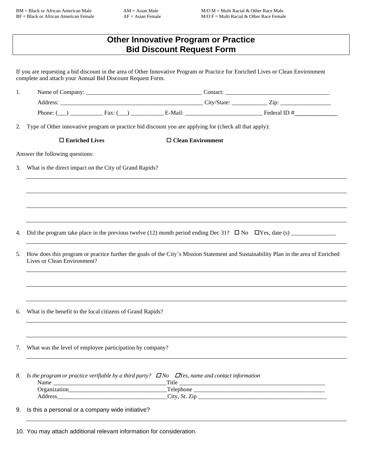|                                                                                                                                                                                                                                | <b>Bid Discount Request Form</b> | <b>Other Innovative Program or Practice</b> |                                                                                                                                     |
|--------------------------------------------------------------------------------------------------------------------------------------------------------------------------------------------------------------------------------|----------------------------------|---------------------------------------------|-------------------------------------------------------------------------------------------------------------------------------------|
| complete and attach your Annual Bid Discount Request Form.                                                                                                                                                                     |                                  |                                             | If you are requesting a bid discount in the area of Other Innovative Program or Practice for Enriched Lives or Clean Environment    |
| 1.                                                                                                                                                                                                                             |                                  |                                             |                                                                                                                                     |
|                                                                                                                                                                                                                                |                                  |                                             |                                                                                                                                     |
|                                                                                                                                                                                                                                |                                  |                                             | Phone: $(\_\_)$ Fax: $(\_\_)$ Fax: $(\_\_)$ E-Mail: $\_\_$                                                                          |
| 2. Type of Other innovative program or practice bid discount you are applying for (check all that apply):                                                                                                                      |                                  |                                             |                                                                                                                                     |
| $\Box$ Enriched Lives                                                                                                                                                                                                          |                                  | $\Box$ Clean Environment                    |                                                                                                                                     |
| Answer the following questions:                                                                                                                                                                                                |                                  |                                             |                                                                                                                                     |
| What is the direct impact on the City of Grand Rapids?<br>3.                                                                                                                                                                   |                                  |                                             |                                                                                                                                     |
|                                                                                                                                                                                                                                |                                  |                                             |                                                                                                                                     |
|                                                                                                                                                                                                                                |                                  |                                             |                                                                                                                                     |
|                                                                                                                                                                                                                                |                                  |                                             |                                                                                                                                     |
|                                                                                                                                                                                                                                |                                  |                                             |                                                                                                                                     |
| 4.                                                                                                                                                                                                                             |                                  |                                             |                                                                                                                                     |
|                                                                                                                                                                                                                                |                                  |                                             |                                                                                                                                     |
| 5.<br>Lives or Clean Environment?                                                                                                                                                                                              |                                  |                                             | How does this program or practice further the goals of the City's Mission Statement and Sustainability Plan in the area of Enriched |
|                                                                                                                                                                                                                                |                                  |                                             |                                                                                                                                     |
|                                                                                                                                                                                                                                |                                  |                                             |                                                                                                                                     |
| What is the benefit to the local citizens of Grand Rapids?<br>6.                                                                                                                                                               |                                  |                                             |                                                                                                                                     |
|                                                                                                                                                                                                                                |                                  |                                             |                                                                                                                                     |
| What was the level of employee participation by company?<br>7.                                                                                                                                                                 |                                  |                                             |                                                                                                                                     |
| 8.<br>Is the program or practice verifiable by a third party? $\Box$ No $\Box$ Yes, name and contact information                                                                                                               | Title                            |                                             |                                                                                                                                     |
|                                                                                                                                                                                                                                |                                  |                                             | <u> 1989 - Jan James James James James James James James James James James James James James James James James J</u>                |
| Address Andreas Address Address Address Andreas Address Address Address Address Address Address Address Address Address Address Address Address Address Address Address Address Address Address Address Address Address Addres |                                  |                                             |                                                                                                                                     |
| Is this a personal or a company wide initiative?<br>9.                                                                                                                                                                         |                                  |                                             |                                                                                                                                     |

10. You may attach additional relevant information for consideration.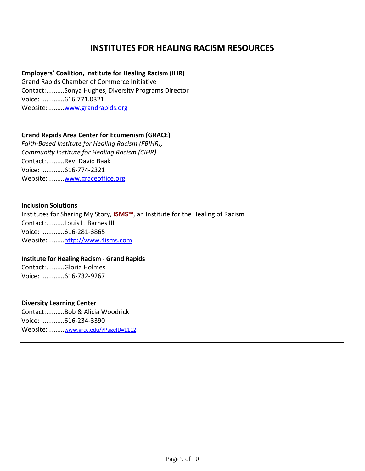# **INSTITUTES FOR HEALING RACISM RESOURCES**

### **Employers' Coalition, Institute for Healing Racism (IHR)**

Grand Rapids Chamber of Commerce Initiative Contact:..........Sonya Hughes, Diversity Programs Director Voice: .............616.771.0321. Website:........[.www.grandrapids.org](http://www.grandrapids.org/)

## **Grand Rapids Area Center for Ecumenism (GRACE)**

*Faith-Based Institute for Healing Racism (FBIHR); Community Institute for Healing Racism (CIHR)* Contact:..........Rev. David Baak Voice: .............616-774-2321 Website:........[.www.graceoffice.org](http://www.graceoffice.org/)

#### **Inclusion Solutions**

Institutes for Sharing My Story, **ISMS™**, an Institute for the Healing of Racism Contact:..........Louis L. Barnes III Voice: .............616-281-3865 Website:........[.http://www.4isms.com](http://www.4isms.com/)

### **Institute for Healing Racism - Grand Rapids**  Contact:..........Gloria Holmes

Voice: .............616-732-9267

#### **Diversity Learning Center**

Contact:..........Bob & Alicia Woodrick Voice: .............616-234-3390 Website:.........[www.grcc.edu/?PageID=1112](http://www.grcc.edu/?PageID=1112)